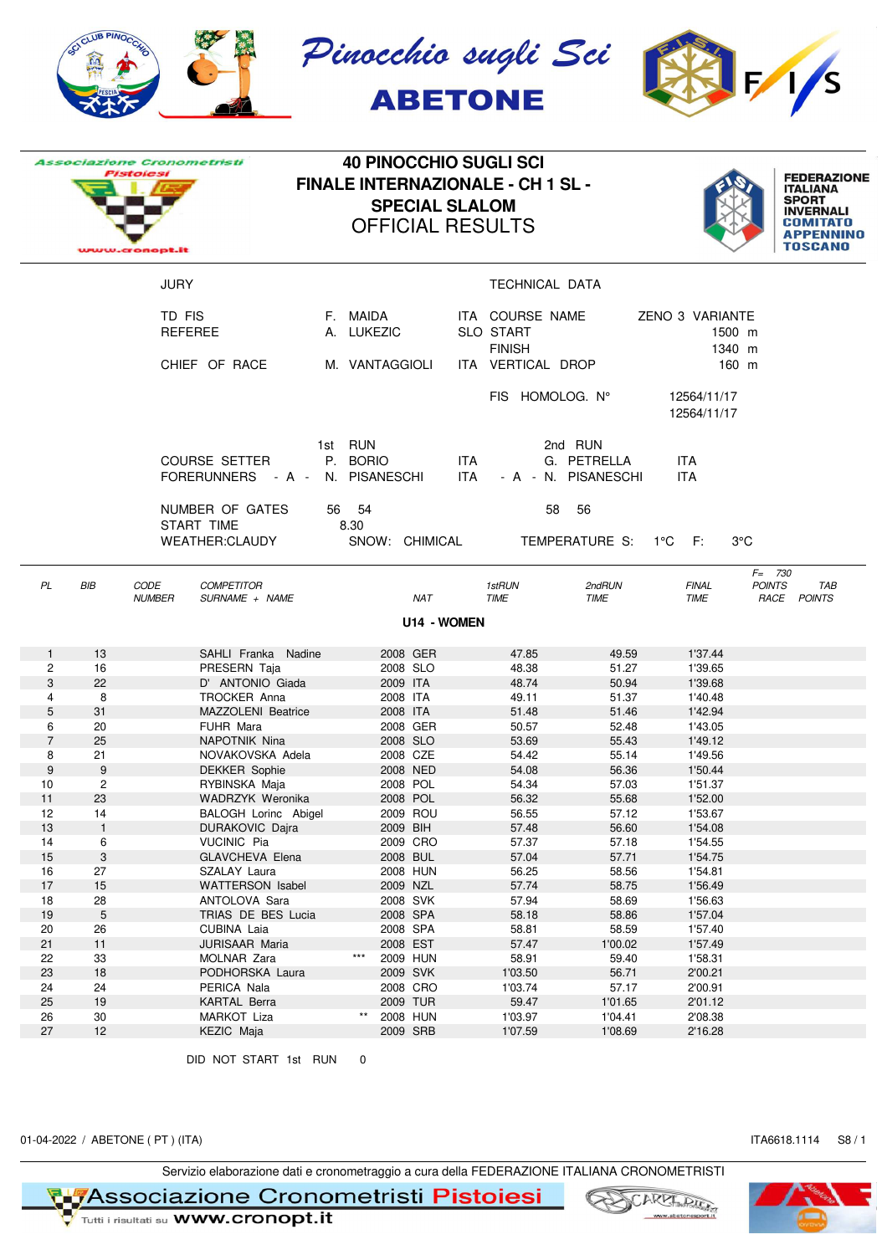

|                |                | <i><b>Associazione Cronometristi</b></i> |                                           | <b>40 PINOCCHIO SUGLI SCI</b> |                           |                       |                    |                                                      |                                               |                                     |                            |                                                                                                                                    |
|----------------|----------------|------------------------------------------|-------------------------------------------|-------------------------------|---------------------------|-----------------------|--------------------|------------------------------------------------------|-----------------------------------------------|-------------------------------------|----------------------------|------------------------------------------------------------------------------------------------------------------------------------|
|                |                | <b>Pistolesi</b><br>cronopt.it           |                                           |                               | <b>OFFICIAL RESULTS</b>   | <b>SPECIAL SLALOM</b> |                    | <b>FINALE INTERNAZIONALE - CH 1 SL -</b>             |                                               |                                     |                            | <b>FEDERAZIONE</b><br><b>ITALIANA</b><br><b>SPORT</b><br><b>INVERNALI</b><br><b>COMITATO</b><br><b>APPENNINO</b><br><b>TOSCANO</b> |
|                |                | <b>JURY</b>                              |                                           |                               |                           |                       |                    | TECHNICAL DATA                                       |                                               |                                     |                            |                                                                                                                                    |
|                |                | TD FIS                                   | <b>REFEREE</b>                            |                               | F. MAIDA<br>A. LUKEZIC    |                       |                    | ITA COURSE NAME<br><b>SLO START</b><br><b>FINISH</b> |                                               | ZENO 3 VARIANTE<br>1500 m<br>1340 m |                            |                                                                                                                                    |
|                | CHIEF OF RACE  |                                          |                                           |                               | M. VANTAGGIOLI            |                       |                    | ITA VERTICAL DROP                                    |                                               | 160 m                               |                            |                                                                                                                                    |
|                |                |                                          |                                           |                               |                           |                       |                    | FIS HOMOLOG. N°                                      |                                               | 12564/11/17<br>12564/11/17          |                            |                                                                                                                                    |
|                |                |                                          | <b>COURSE SETTER</b><br>FORERUNNERS - A - | 1st RUN                       | P. BORIO<br>N. PISANESCHI |                       | <b>ITA</b><br>ITA. |                                                      | 2nd RUN<br>G. PETRELLA<br>- A - N. PISANESCHI | <b>ITA</b><br><b>ITA</b>            |                            |                                                                                                                                    |
|                |                |                                          | NUMBER OF GATES<br>START TIME             | 56<br>8.30                    | 54                        |                       |                    | 58                                                   | 56                                            |                                     |                            |                                                                                                                                    |
|                |                |                                          | WEATHER:CLAUDY                            |                               | SNOW: CHIMICAL            |                       |                    |                                                      | TEMPERATURE S: 1°C                            | - F:                                | $3^{\circ}$ C              |                                                                                                                                    |
| PL             | <b>BIB</b>     | CODE<br><b>NUMBER</b>                    | <b>COMPETITOR</b><br>SURNAME + NAME       |                               |                           | NAT                   |                    | 1stRUN<br><b>TIME</b>                                | 2ndRUN<br><b>TIME</b>                         | <b>FINAL</b><br>TIME                | $F = 730$<br><b>POINTS</b> | <b>TAB</b><br>RACE POINTS                                                                                                          |
|                |                |                                          |                                           |                               |                           | U14 - WOMEN           |                    |                                                      |                                               |                                     |                            |                                                                                                                                    |
| $\mathbf{1}$   | 13             |                                          | SAHLI Franka Nadine                       |                               | 2008 GER                  |                       |                    | 47.85                                                | 49.59                                         | 1'37.44                             |                            |                                                                                                                                    |
| $\overline{c}$ | 16             |                                          | PRESERN Taja                              |                               | 2008 SLO                  |                       |                    | 48.38                                                | 51.27                                         | 1'39.65                             |                            |                                                                                                                                    |
| 3              | 22             |                                          | D' ANTONIO Giada                          |                               | 2009 ITA                  |                       |                    | 48.74                                                | 50.94                                         | 1'39.68                             |                            |                                                                                                                                    |
| 4<br>5         | 8<br>31        |                                          | <b>TROCKER Anna</b><br>MAZZOLENI Beatrice |                               | 2008 ITA<br>2008 ITA      |                       |                    | 49.11<br>51.48                                       | 51.37<br>51.46                                | 1'40.48<br>1'42.94                  |                            |                                                                                                                                    |
| 6              | 20             |                                          | FUHR Mara                                 |                               | 2008 GER                  |                       |                    | 50.57                                                | 52.48                                         | 1'43.05                             |                            |                                                                                                                                    |
| $\overline{7}$ | 25             |                                          | <b>NAPOTNIK Nina</b>                      |                               | 2008 SLO                  |                       |                    | 53.69                                                | 55.43                                         | 1'49.12                             |                            |                                                                                                                                    |
| 8              | 21             |                                          | NOVAKOVSKA Adela                          |                               | 2008 CZE                  |                       |                    | 54.42                                                | 55.14                                         | 1'49.56                             |                            |                                                                                                                                    |
| 9              | 9              |                                          | <b>DEKKER Sophie</b>                      |                               | 2008 NED                  |                       |                    | 54.08                                                | 56.36                                         | 1'50.44                             |                            |                                                                                                                                    |
| 10             | $\overline{c}$ |                                          | RYBINSKA Maja                             |                               | 2008 POL                  |                       |                    | 54.34                                                | 57.03                                         | 1'51.37                             |                            |                                                                                                                                    |
| 11             | 23             |                                          | <b>WADRZYK Weronika</b>                   |                               | 2008 POL                  |                       |                    | 56.32                                                | 55.68                                         | 1'52.00                             |                            |                                                                                                                                    |
| 12             | 14             |                                          | BALOGH Lorinc Abigel                      |                               | 2009 ROU                  |                       |                    | 56.55                                                | 57.12                                         | 1'53.67                             |                            |                                                                                                                                    |
| 13             | $\mathbf{1}$   |                                          | DURAKOVIC Dajra                           |                               | 2009 BIH                  |                       |                    | 57.48                                                | 56.60                                         | 1'54.08                             |                            |                                                                                                                                    |
| 14             | 6              |                                          | <b>VUCINIC Pia</b>                        |                               | 2009 CRO                  |                       |                    | 57.37                                                | 57.18                                         | 1'54.55                             |                            |                                                                                                                                    |
| 15             | 3<br>27        |                                          | GLAVCHEVA Elena<br>SZALAY Laura           |                               | 2008 BUL<br>2008 HUN      |                       |                    | 57.04                                                | 57.71                                         | 1'54.75<br>1'54.81                  |                            |                                                                                                                                    |
| 16<br>17       | 15             |                                          | <b>WATTERSON Isabel</b>                   |                               | 2009 NZL                  |                       |                    | 56.25<br>57.74                                       | 58.56<br>58.75                                | 1'56.49                             |                            |                                                                                                                                    |
| 18             | 28             |                                          | ANTOLOVA Sara                             |                               | 2008 SVK                  |                       |                    | 57.94                                                | 58.69                                         | 1'56.63                             |                            |                                                                                                                                    |
| 19             | $\sqrt{5}$     |                                          | TRIAS DE BES Lucia                        |                               | 2008 SPA                  |                       |                    | 58.18                                                | 58.86                                         | 1'57.04                             |                            |                                                                                                                                    |
| 20             | 26             |                                          | CUBINA Laia                               |                               | 2008 SPA                  |                       |                    | 58.81                                                | 58.59                                         | 1'57.40                             |                            |                                                                                                                                    |
| 21             | 11             |                                          | <b>JURISAAR Maria</b>                     |                               | 2008 EST                  |                       |                    | 57.47                                                | 1'00.02                                       | 1'57.49                             |                            |                                                                                                                                    |
| 22             | 33             |                                          | MOLNAR Zara                               |                               | ***<br>2009 HUN           |                       |                    | 58.91                                                | 59.40                                         | 1'58.31                             |                            |                                                                                                                                    |
| 23             | 18             |                                          | PODHORSKA Laura                           |                               | 2009 SVK                  |                       |                    | 1'03.50                                              | 56.71                                         | 2'00.21                             |                            |                                                                                                                                    |
| 24             | 24             |                                          | PERICA Nala                               |                               | 2008 CRO                  |                       |                    | 1'03.74                                              | 57.17                                         | 2'00.91                             |                            |                                                                                                                                    |
| 25             | 19             |                                          | <b>KARTAL Berra</b>                       |                               | 2009 TUR                  |                       |                    | 59.47                                                | 1'01.65                                       | 2'01.12                             |                            |                                                                                                                                    |
| 26             | 30             |                                          | MARKOT Liza                               |                               | 2008 HUN                  |                       |                    | 1'03.97                                              | 1'04.41                                       | 2'08.38                             |                            |                                                                                                                                    |
| 27             | 12             |                                          | KEZIC Maja                                |                               | 2009 SRB                  |                       |                    | 1'07.59                                              | 1'08.69                                       | 2'16.28                             |                            |                                                                                                                                    |

DID NOT START 1st RUN 0

01-04-2022 / ABETONE ( PT ) (ITA) ITA6618.1114 S8 / 1

Servizio elaborazione dati e cronometraggio a cura della FEDERAZIONE ITALIANA CRONOMETRISTI

**T Metal Secondia Secondia 21010 Cronometristi Pistoiesi**<br>The Tunti i risultati su **www.cronopt.it** 



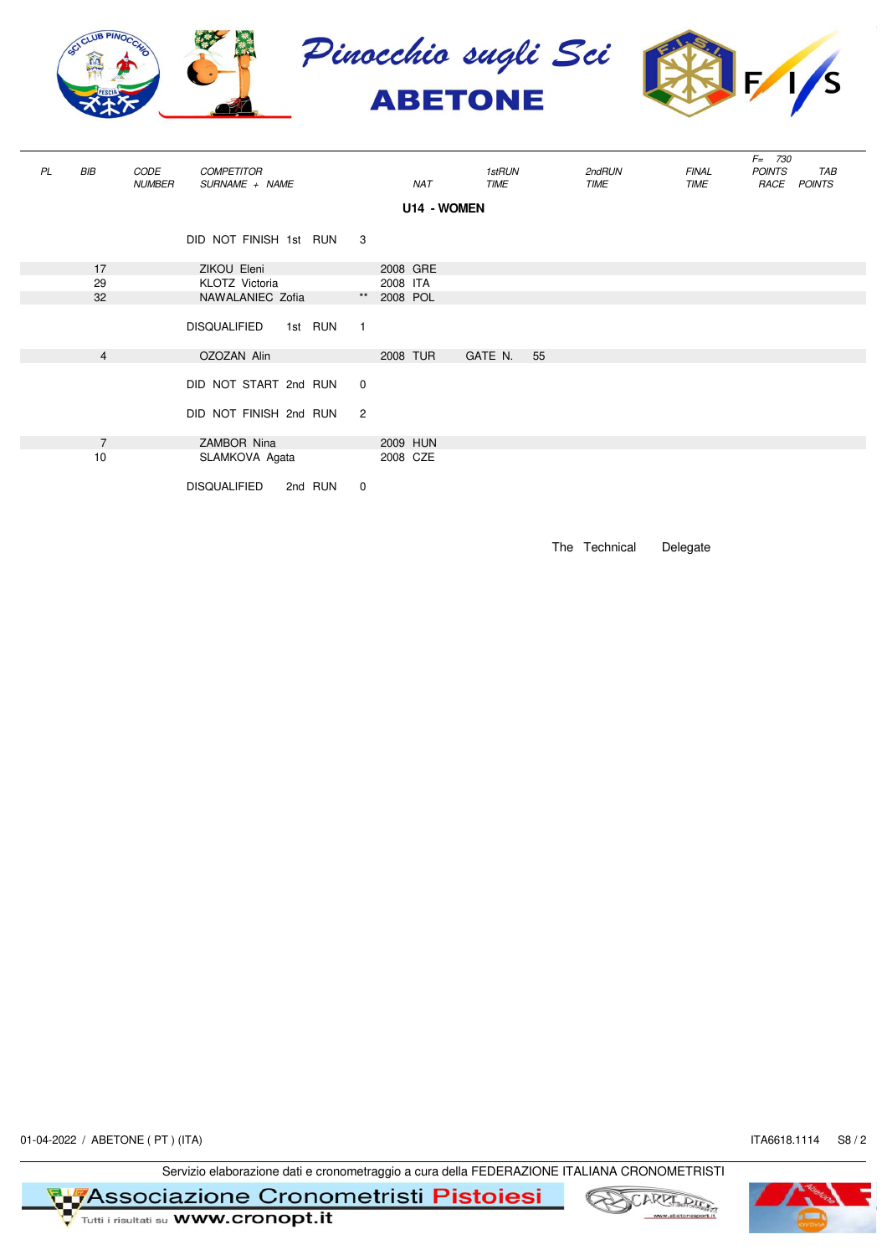

| PL | BIB            | CODE<br><b>NUMBER</b> | <b>COMPETITOR</b><br>SURNAME + NAME             |                                  | NAT         | <i>1stRUN</i><br><b>TIME</b> |    | 2ndRUN<br>TIME | <b>FINAL</b><br>TIME | $F = 730$<br><b>POINTS</b><br>TAB<br>RACE POINTS |
|----|----------------|-----------------------|-------------------------------------------------|----------------------------------|-------------|------------------------------|----|----------------|----------------------|--------------------------------------------------|
|    |                |                       |                                                 |                                  |             |                              |    |                |                      |                                                  |
|    |                |                       | DID NOT FINISH 1st RUN 3                        |                                  |             |                              |    |                |                      |                                                  |
|    | 17             |                       | ZIKOU Eleni                                     |                                  | 2008 GRE    |                              |    |                |                      |                                                  |
|    | 29             |                       | KLOTZ Victoria                                  |                                  | 2008 ITA    |                              |    |                |                      |                                                  |
|    | 32             |                       | NAWALANIEC Zofia                                |                                  | ** 2008 POL |                              |    |                |                      |                                                  |
|    |                |                       | <b>DISQUALIFIED</b><br>1st RUN                  | $\overline{1}$                   |             |                              |    |                |                      |                                                  |
|    | $\overline{4}$ |                       | OZOZAN Alin                                     |                                  | 2008 TUR    | GATE N.                      | 55 |                |                      |                                                  |
|    |                |                       | DID NOT START 2nd RUN<br>DID NOT FINISH 2nd RUN | $\overline{0}$<br>$\overline{2}$ |             |                              |    |                |                      |                                                  |
|    | $\overline{7}$ |                       | ZAMBOR Nina                                     |                                  | 2009 HUN    |                              |    |                |                      |                                                  |
|    | 10             |                       | SLAMKOVA Agata                                  |                                  | 2008 CZE    |                              |    |                |                      |                                                  |
|    |                |                       | <b>DISQUALIFIED</b><br>2nd RUN                  | $\overline{0}$                   |             |                              |    |                |                      |                                                  |

The Technical Delegate

01-04-2022 / ABETONE ( PT ) (ITA) ITA6618.1114 S8 / 2

Servizio elaborazione dati e cronometraggio a cura della FEDERAZIONE ITALIANA CRONOMETRISTI

**T Metal Secondia Secondia 21010 Cronometristi Pistoiesi**<br>The Tunti i risultati su **www.cronopt.it** 





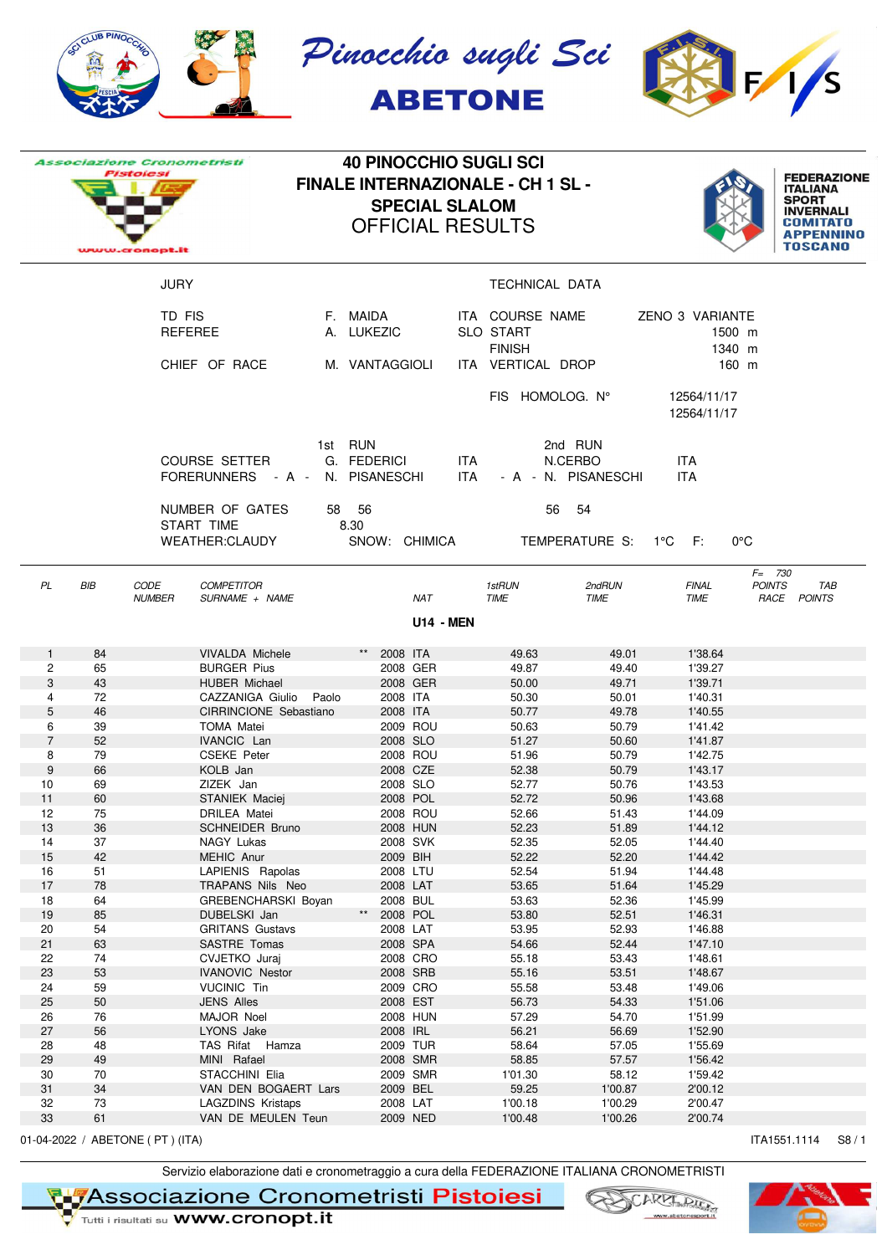

|                  |          | <b>Associazione Cronometristi</b> |                                                     | <b>40 PINOCCHIO SUGLI SCI</b>            |                      |                       |      |                                   |                     |                            |                  |                              |                    |
|------------------|----------|-----------------------------------|-----------------------------------------------------|------------------------------------------|----------------------|-----------------------|------|-----------------------------------|---------------------|----------------------------|------------------|------------------------------|--------------------|
| <b>Pistolesi</b> |          |                                   |                                                     | <b>FINALE INTERNAZIONALE - CH 1 SL -</b> |                      |                       |      |                                   |                     |                            |                  | <b>ITALIANA</b>              | <b>FEDERAZIONE</b> |
|                  |          |                                   |                                                     |                                          |                      | <b>SPECIAL SLALOM</b> |      |                                   |                     |                            |                  | <b>SPORT</b>                 |                    |
|                  |          |                                   |                                                     |                                          |                      |                       |      |                                   |                     |                            |                  | <b>INVERNALI</b><br>COMITATO |                    |
|                  |          |                                   |                                                     |                                          |                      |                       |      | <b>OFFICIAL RESULTS</b>           |                     |                            |                  | <b>APPENNINO</b>             |                    |
|                  |          | www.cronopt.it                    |                                                     |                                          |                      |                       |      |                                   |                     |                            |                  | <b>TOSCANO</b>               |                    |
|                  |          | <b>JURY</b>                       |                                                     |                                          |                      |                       |      | <b>TECHNICAL DATA</b>             |                     |                            |                  |                              |                    |
|                  |          |                                   |                                                     |                                          |                      |                       |      |                                   |                     |                            |                  |                              |                    |
|                  |          | TD FIS                            |                                                     | F. MAIDA                                 |                      |                       |      | ITA COURSE NAME                   |                     | ZENO 3 VARIANTE            |                  |                              |                    |
|                  |          |                                   | REFEREE                                             |                                          | A. LUKEZIC           |                       |      | <b>SLO START</b><br><b>FINISH</b> |                     |                            | 1500 m<br>1340 m |                              |                    |
|                  |          |                                   | CHIEF OF RACE                                       |                                          | M. VANTAGGIOLI       |                       |      | ITA VERTICAL DROP                 |                     |                            | 160 m            |                              |                    |
|                  |          |                                   |                                                     |                                          |                      |                       |      |                                   |                     |                            |                  |                              |                    |
|                  |          |                                   |                                                     |                                          |                      |                       |      | FIS HOMOLOG. N°                   |                     | 12564/11/17<br>12564/11/17 |                  |                              |                    |
|                  |          |                                   |                                                     | 1st RUN                                  |                      |                       |      |                                   | 2nd RUN             |                            |                  |                              |                    |
|                  |          |                                   | COURSE SETTER                                       |                                          | G. FEDERICI          |                       | ITA. |                                   | N.CERBO             | <b>ITA</b>                 |                  |                              |                    |
|                  |          |                                   | FORERUNNERS - A - N. PISANESCHI                     |                                          |                      |                       | ITA. |                                   | - A - N. PISANESCHI | <b>ITA</b>                 |                  |                              |                    |
|                  |          |                                   | NUMBER OF GATES                                     | 58 56                                    |                      |                       |      | 56                                | - 54                |                            |                  |                              |                    |
|                  |          |                                   | START TIME                                          | 8.30                                     |                      |                       |      |                                   |                     |                            |                  |                              |                    |
|                  |          |                                   | <b>WEATHER:CLAUDY</b>                               |                                          |                      | SNOW: CHIMICA         |      |                                   | TEMPERATURE S:      | $1^{\circ}$ C F:           | $0^{\circ}$ C    |                              |                    |
|                  |          |                                   |                                                     |                                          |                      |                       |      |                                   |                     |                            | $F = 730$        |                              |                    |
| PL               | BIB      | CODE                              | <b>COMPETITOR</b>                                   |                                          |                      |                       |      | 1stRUN                            | 2ndRUN              | <b>FINAL</b>               | <b>POINTS</b>    |                              | TAB                |
|                  |          | <b>NUMBER</b>                     | SURNAME + NAME                                      |                                          |                      | NAT                   |      | <b>TIME</b>                       | TIME                | TIME                       |                  | RACE POINTS                  |                    |
|                  |          |                                   |                                                     |                                          |                      | <b>U14 - MEN</b>      |      |                                   |                     |                            |                  |                              |                    |
| $\mathbf{1}$     | 84       |                                   | <b>VIVALDA Michele</b>                              |                                          | 2008 ITA             |                       |      | 49.63                             | 49.01               | 1'38.64                    |                  |                              |                    |
| $\overline{c}$   | 65       |                                   | <b>BURGER Pius</b>                                  |                                          |                      | 2008 GER              |      | 49.87                             | 49.40               | 1'39.27                    |                  |                              |                    |
| 3                | 43       |                                   | <b>HUBER Michael</b>                                |                                          |                      | 2008 GER              |      | 50.00                             | 49.71               | 1'39.71                    |                  |                              |                    |
| 4<br>5           | 72<br>46 |                                   | CAZZANIGA Giulio<br>Paolo<br>CIRRINCIONE Sebastiano |                                          | 2008 ITA<br>2008 ITA |                       |      | 50.30<br>50.77                    | 50.01<br>49.78      | 1'40.31<br>1'40.55         |                  |                              |                    |
| 6                | 39       |                                   | <b>TOMA Matei</b>                                   |                                          |                      | 2009 ROU              |      | 50.63                             | 50.79               | 1'41.42                    |                  |                              |                    |
| $\overline{7}$   | 52       |                                   | <b>IVANCIC Lan</b>                                  |                                          | 2008 SLO             |                       |      | 51.27                             | 50.60               | 1'41.87                    |                  |                              |                    |
| 8                | 79       |                                   | <b>CSEKE Peter</b>                                  |                                          |                      | 2008 ROU              |      | 51.96                             | 50.79               | 1'42.75                    |                  |                              |                    |
| 9                | 66       |                                   | KOLB Jan                                            |                                          |                      | 2008 CZE              |      | 52.38                             | 50.79               | 1'43.17                    |                  |                              |                    |
| 10               | 69       |                                   | ZIZEK Jan                                           |                                          | 2008 SLO             |                       |      | 52.77                             | 50.76               | 1'43.53                    |                  |                              |                    |
| 11               | 60       |                                   | STANIEK Maciej                                      |                                          |                      | 2008 POL              |      | 52.72                             | 50.96               | 1'43.68                    |                  |                              |                    |
| 12               | 75       |                                   | DRILEA Matei                                        |                                          |                      | 2008 ROU              |      | 52.66                             | 51.43               | 1'44.09                    |                  |                              |                    |
| 13               | 36       |                                   | <b>SCHNEIDER Bruno</b>                              |                                          |                      | 2008 HUN              |      | 52.23                             | 51.89               | 1'44.12                    |                  |                              |                    |
| 14               | 37       |                                   | NAGY Lukas                                          |                                          |                      | 2008 SVK              |      | 52.35                             | 52.05               | 1'44.40                    |                  |                              |                    |
| 15               | 42       |                                   | MEHIC Anur                                          |                                          | 2009 BIH             |                       |      | 52.22                             | 52.20               | 1'44.42                    |                  |                              |                    |
| 16               | 51       |                                   | LAPIENIS Rapolas                                    |                                          | 2008 LTU             |                       |      | 52.54                             | 51.94               | 1'44.48                    |                  |                              |                    |
| 17               | 78       |                                   | TRAPANS Nils Neo                                    |                                          | 2008 LAT             |                       |      | 53.65                             | 51.64               | 1'45.29                    |                  |                              |                    |
| 18               | 64       |                                   | <b>GREBENCHARSKI Boyan</b>                          |                                          | 2008 BUL             |                       |      | 53.63                             | 52.36               | 1'45.99                    |                  |                              |                    |
| 19               | 85       |                                   | DUBELSKI Jan                                        | $^{\star\star}$                          | 2008 POL             |                       |      | 53.80                             | 52.51               | 1'46.31                    |                  |                              |                    |
| 20               | 54       |                                   | <b>GRITANS Gustavs</b>                              |                                          | 2008 LAT             |                       |      | 53.95                             | 52.93               | 1'46.88                    |                  |                              |                    |
| 21               | 63       |                                   | SASTRE Tomas                                        |                                          | 2008 SPA             |                       |      | 54.66                             | 52.44               | 1'47.10                    |                  |                              |                    |
| 22<br>23         | 74<br>53 |                                   | CVJETKO Juraj                                       |                                          | 2008 SRB             | 2008 CRO              |      | 55.18<br>55.16                    | 53.43<br>53.51      | 1'48.61<br>1'48.67         |                  |                              |                    |
| 24               |          |                                   | <b>IVANOVIC Nestor</b>                              |                                          |                      | 2009 CRO              |      |                                   |                     | 1'49.06                    |                  |                              |                    |
| 25               | 59<br>50 |                                   | <b>VUCINIC Tin</b><br><b>JENS Alles</b>             |                                          | 2008 EST             |                       |      | 55.58<br>56.73                    | 53.48<br>54.33      | 1'51.06                    |                  |                              |                    |
| 26               | 76       |                                   | MAJOR Noel                                          |                                          |                      | 2008 HUN              |      | 57.29                             | 54.70               | 1'51.99                    |                  |                              |                    |
| 27               | 56       |                                   | LYONS Jake                                          |                                          | 2008 IRL             |                       |      | 56.21                             | 56.69               | 1'52.90                    |                  |                              |                    |
| 28               | 48       |                                   | TAS Rifat Hamza                                     |                                          |                      | 2009 TUR              |      | 58.64                             | 57.05               | 1'55.69                    |                  |                              |                    |
| 29               | 49       |                                   | MINI Rafael                                         |                                          |                      | 2008 SMR              |      | 58.85                             | 57.57               | 1'56.42                    |                  |                              |                    |
| 30               | 70       |                                   | STACCHINI Elia                                      |                                          |                      | 2009 SMR              |      | 1'01.30                           | 58.12               | 1'59.42                    |                  |                              |                    |
| 31               | 34       |                                   | VAN DEN BOGAERT Lars                                |                                          | 2009 BEL             |                       |      | 59.25                             | 1'00.87             | 2'00.12                    |                  |                              |                    |
| 32               | 73       |                                   | <b>LAGZDINS Kristaps</b>                            |                                          | 2008 LAT             |                       |      | 1'00.18                           | 1'00.29             | 2'00.47                    |                  |                              |                    |
| 33               | 61       |                                   | VAN DE MEULEN Teun                                  |                                          |                      | 2009 NED              |      | 1'00.48                           | 1'00.26             | 2'00.74                    |                  |                              |                    |
|                  |          | 01-04-2022 / ABETONE ( PT ) (ITA) |                                                     |                                          |                      |                       |      |                                   |                     |                            |                  | ITA1551.1114                 | S8/1               |

Servizio elaborazione dati e cronometraggio a cura della FEDERAZIONE ITALIANA CRONOMETRISTI

**T Metalogoria Second Second Cromometristi Pistoiesi**<br>The Tradit insultati su WWW.cronopt.it